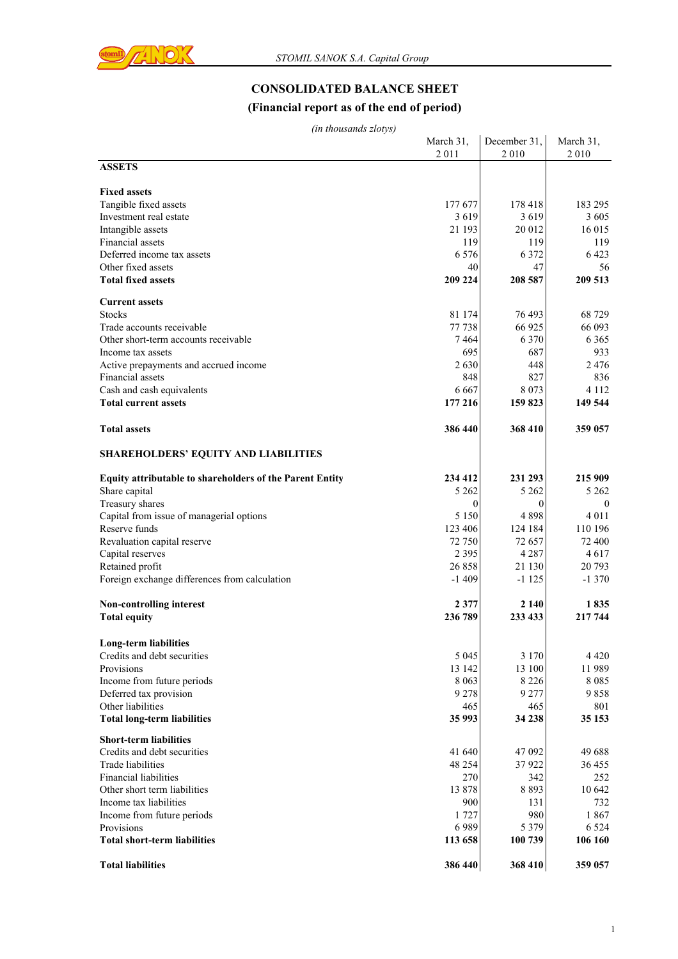

# **CONSOLIDATED BALANCE SHEET**

# **(Financial report as of the end of period)**

| (in thousands zlotys) |  |
|-----------------------|--|
|-----------------------|--|

| (in thousands ziotys)                                           |                   |                      |                    |
|-----------------------------------------------------------------|-------------------|----------------------|--------------------|
|                                                                 | March 31,<br>2011 | December 31,<br>2010 | March 31,<br>2010  |
| <b>ASSETS</b>                                                   |                   |                      |                    |
| <b>Fixed assets</b>                                             |                   |                      |                    |
| Tangible fixed assets                                           | 177 677           | 178 418              | 183 295            |
| Investment real estate                                          | 3619              | 3619                 | 3605               |
| Intangible assets                                               | 21 193            | 20 012               | 16 015             |
| Financial assets                                                | 119               | 119                  | 119                |
| Deferred income tax assets                                      | 6 5 7 6           | 6 3 7 2              | 6423               |
| Other fixed assets                                              | 40                | 47                   | 56                 |
| <b>Total fixed assets</b>                                       | 209 224           | 208 587              | 209 513            |
| <b>Current assets</b>                                           |                   |                      |                    |
| <b>Stocks</b>                                                   | 81 174            | 76 493               | 68729              |
| Trade accounts receivable                                       | 77 738            | 66 925               | 66 093             |
| Other short-term accounts receivable                            | 7464              | 6 3 7 0              | 6 3 6 5            |
| Income tax assets                                               | 695               | 687                  | 933                |
| Active prepayments and accrued income                           | 2630              | 448                  | 2476               |
| Financial assets                                                | 848               | 827                  | 836                |
| Cash and cash equivalents                                       | 6 6 6 7           | 8 0 7 3              | 4 1 1 2            |
| <b>Total current assets</b>                                     | 177 216           | 159 823              | 149 544            |
| <b>Total assets</b>                                             | 386 440           | 368 410              | 359 057            |
| <b>SHAREHOLDERS' EQUITY AND LIABILITIES</b>                     |                   |                      |                    |
| <b>Equity attributable to shareholders of the Parent Entity</b> | 234 412           | 231 293              | 215 909            |
| Share capital                                                   | 5 2 6 2           | 5 2 6 2              | 5 2 6 2            |
| Treasury shares                                                 | $\overline{0}$    | $\theta$             | $\theta$           |
| Capital from issue of managerial options                        | 5 1 5 0           | 4898                 | 4 0 1 1            |
| Reserve funds                                                   | 123 406           | 124 184              | 110 196            |
| Revaluation capital reserve                                     | 72 750            | 72 657               | 72 400             |
| Capital reserves                                                | 2 3 9 5           | 4 2 8 7              | 4617               |
| Retained profit                                                 | 26858             | 21 130               | 20 793             |
| Foreign exchange differences from calculation                   | $-1409$           | $-1125$              | $-1370$            |
| Non-controlling interest                                        | 2 3 7 7           | 2 1 4 0              | 1835               |
| <b>Total equity</b>                                             | 236 789           | 233 433              | 217 744            |
| <b>Long-term liabilities</b>                                    |                   |                      |                    |
| Credits and debt securities                                     | 5 0 4 5           | 3 1 7 0              | 4 4 2 0            |
| Provisions                                                      | 13 142            | 13 100               | 11989              |
| Income from future periods                                      | 8 0 6 3           | 8 2 2 6              | 8085               |
| Deferred tax provision                                          | 9 2 7 8           | 9 2 7 7              | 9858               |
| Other liabilities                                               | 465               | 465                  | 801                |
| <b>Total long-term liabilities</b>                              | 35 993            | 34 238               | 35 153             |
| <b>Short-term liabilities</b>                                   |                   |                      |                    |
| Credits and debt securities                                     | 41 640            | 47 092               | 49 688             |
| <b>Trade liabilities</b>                                        | 48 254            | 37922                | 36 455             |
| Financial liabilities                                           | 270               | 342                  | 252                |
| Other short term liabilities                                    | 13878             | 8 8 9 3              | 10 642             |
| Income tax liabilities                                          | 900               | 131                  | 732                |
| Income from future periods                                      | 1727              | 980                  | 1867               |
| Provisions<br><b>Total short-term liabilities</b>               | 6989<br>113 658   | 5 3 7 9<br>100 739   | 6 5 2 4<br>106 160 |
| <b>Total liabilities</b>                                        | 386 440           | 368 410              | 359 057            |
|                                                                 |                   |                      |                    |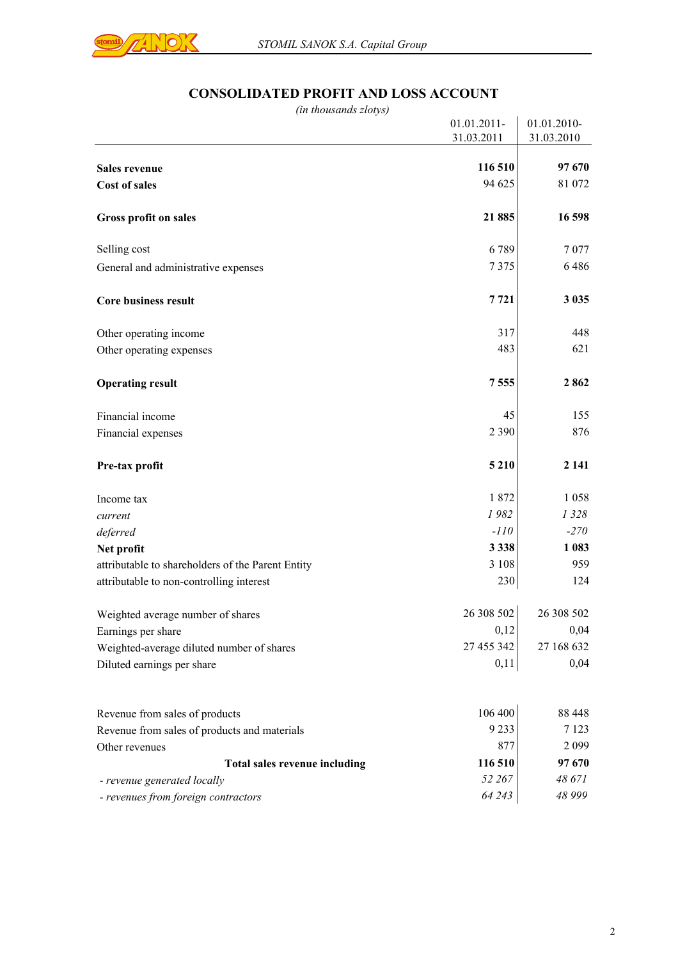

# **CONSOLIDATED PROFIT AND LOSS ACCOUNT**

| (in thousands zlotys)                             |             |             |
|---------------------------------------------------|-------------|-------------|
|                                                   | 01.01.2011- | 01.01.2010- |
|                                                   | 31.03.2011  | 31.03.2010  |
| <b>Sales revenue</b>                              | 116 510     | 97 670      |
| <b>Cost of sales</b>                              | 94 625      | 81 072      |
|                                                   |             |             |
| <b>Gross profit on sales</b>                      | 21885       | 16 598      |
| Selling cost                                      | 6789        | 7 0 7 7     |
| General and administrative expenses               | 7375        | 6486        |
| <b>Core business result</b>                       | 7721        | 3 0 3 5     |
| Other operating income                            | 317         | 448         |
| Other operating expenses                          | 483         | 621         |
| <b>Operating result</b>                           | 7555        | 2862        |
| Financial income                                  | 45          | 155         |
| Financial expenses                                | 2 3 9 0     | 876         |
| Pre-tax profit                                    | 5 2 1 0     | 2 1 4 1     |
| Income tax                                        | 1872        | 1 0 5 8     |
| current                                           | 1982        | 1 3 2 8     |
| deferred                                          | $-110$      | $-270$      |
| Net profit                                        | 3 3 3 8     | 1 0 8 3     |
| attributable to shareholders of the Parent Entity | 3 1 0 8     | 959         |
| attributable to non-controlling interest          | 230         | 124         |
| Weighted average number of shares                 | 26 308 502  | 26 308 502  |
| Earnings per share                                | 0,12        | 0,04        |
| Weighted-average diluted number of shares         | 27 455 342  | 27 168 632  |
| Diluted earnings per share                        | 0,11        | 0,04        |
| Revenue from sales of products                    | 106 400     | 88 448      |
| Revenue from sales of products and materials      | 9 2 3 3     | 7 1 2 3     |
| Other revenues                                    | 877         | 2 0 9 9     |
| Total sales revenue including                     | 116 510     | 97 670      |
| - revenue generated locally                       | 52 267      | 48 671      |
| - revenues from foreign contractors               | 64 243      | 48 999      |
|                                                   |             |             |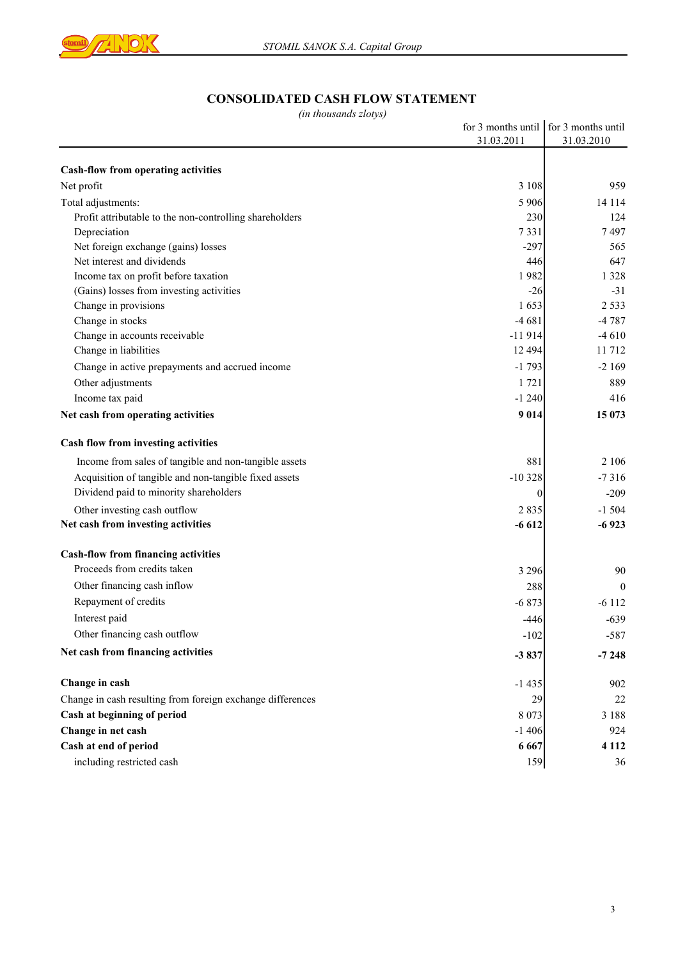

# **CONSOLIDATED CASH FLOW STATEMENT**

*(in thousands zlotys)*

|                                                            | for 3 months until for 3 months until |            |
|------------------------------------------------------------|---------------------------------------|------------|
|                                                            | 31.03.2011                            | 31.03.2010 |
|                                                            |                                       |            |
| <b>Cash-flow from operating activities</b>                 |                                       |            |
| Net profit                                                 | 3 1 0 8                               | 959        |
| Total adjustments:                                         | 5 9 0 6                               | 14 114     |
| Profit attributable to the non-controlling shareholders    | 230                                   | 124        |
| Depreciation                                               | 7331                                  | 7497       |
| Net foreign exchange (gains) losses                        | $-297$                                | 565        |
| Net interest and dividends                                 | 446                                   | 647        |
| Income tax on profit before taxation                       | 1982                                  | 1 3 2 8    |
| (Gains) losses from investing activities                   | $-26$                                 | $-31$      |
| Change in provisions                                       | 1653                                  | 2 5 3 3    |
| Change in stocks                                           | $-4681$                               | $-4787$    |
| Change in accounts receivable                              | $-11914$                              | $-4610$    |
| Change in liabilities                                      | 12 4 9 4                              | 11 712     |
| Change in active prepayments and accrued income            | $-1793$                               | $-2169$    |
| Other adjustments                                          | 1721                                  | 889        |
| Income tax paid                                            | $-1240$                               | 416        |
| Net cash from operating activities                         | 9 0 1 4                               | 15 073     |
| Cash flow from investing activities                        |                                       |            |
| Income from sales of tangible and non-tangible assets      | 881                                   | 2 1 0 6    |
| Acquisition of tangible and non-tangible fixed assets      | $-10328$                              | $-7316$    |
| Dividend paid to minority shareholders                     | $\Omega$                              | $-209$     |
| Other investing cash outflow                               | 2835                                  | $-1504$    |
| Net cash from investing activities                         | $-6612$                               | $-6923$    |
| <b>Cash-flow from financing activities</b>                 |                                       |            |
| Proceeds from credits taken                                | 3 2 9 6                               | 90         |
| Other financing cash inflow                                | 288                                   | $\theta$   |
| Repayment of credits                                       | $-6873$                               | $-6112$    |
| Interest paid                                              | $-446$                                | $-639$     |
| Other financing cash outflow                               | $-102$                                | $-587$     |
|                                                            |                                       |            |
| Net cash from financing activities                         | $-3837$                               | $-7248$    |
| Change in cash                                             | $-1435$                               | 902        |
| Change in cash resulting from foreign exchange differences | 29                                    | 22         |
| Cash at beginning of period                                | 8 0 7 3                               | 3 1 8 8    |
| Change in net cash                                         | $-1406$                               | 924        |
| Cash at end of period                                      | 6 6 6 7                               | 4 1 1 2    |
| including restricted cash                                  | 159                                   | 36         |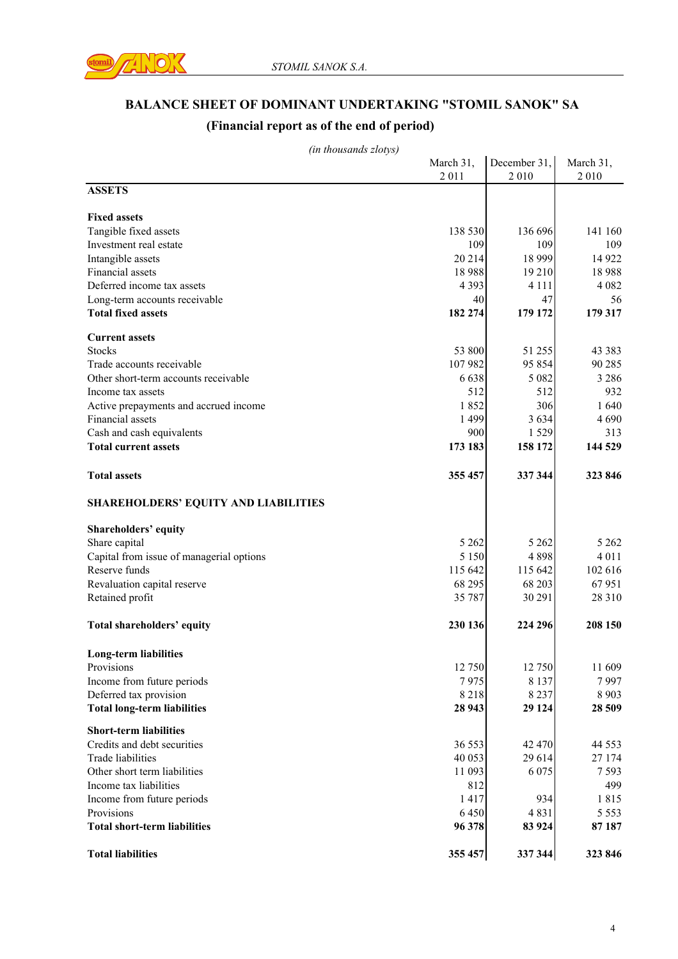

# **BALANCE SHEET OF DOMINANT UNDERTAKING "STOMIL SANOK" SA**

# **(Financial report as of the end of period)**

| (in thousands zlotys)                    |           |              |           |
|------------------------------------------|-----------|--------------|-----------|
|                                          | March 31, | December 31, | March 31, |
|                                          | 2011      | 2010         | 2010      |
| <b>ASSETS</b>                            |           |              |           |
| <b>Fixed assets</b>                      |           |              |           |
| Tangible fixed assets                    | 138 530   | 136 696      | 141 160   |
| Investment real estate                   | 109       | 109          | 109       |
| Intangible assets                        | 20 214    | 18 9 9 9     | 14 9 22   |
| Financial assets                         | 18988     | 19 210       | 18988     |
| Deferred income tax assets               | 4 3 9 3   | 4 1 1 1      | 4 0 8 2   |
| Long-term accounts receivable            | 40        | 47           | 56        |
| <b>Total fixed assets</b>                | 182 274   | 179 172      | 179 317   |
| <b>Current assets</b>                    |           |              |           |
| <b>Stocks</b>                            | 53 800    | 51 255       | 43 3 8 3  |
| Trade accounts receivable                | 107 982   | 95 854       | 90 285    |
| Other short-term accounts receivable     | 6 6 3 8   | 5 0 8 2      | 3 2 8 6   |
| Income tax assets                        | 512       | 512          | 932       |
| Active prepayments and accrued income    | 1852      | 306          | 1 640     |
| Financial assets                         | 1 4 9 9   | 3 6 3 4      | 4690      |
| Cash and cash equivalents                | 900       | 1 5 2 9      | 313       |
| <b>Total current assets</b>              | 173 183   | 158 172      | 144 529   |
| <b>Total assets</b>                      | 355 457   | 337 344      | 323 846   |
| SHAREHOLDERS' EQUITY AND LIABILITIES     |           |              |           |
| Shareholders' equity                     |           |              |           |
| Share capital                            | 5 2 6 2   | 5 2 6 2      | 5 2 6 2   |
| Capital from issue of managerial options | 5 1 5 0   | 4 8 9 8      | 4 0 1 1   |
| Reserve funds                            | 115 642   | 115 642      | 102 616   |
| Revaluation capital reserve              | 68 295    | 68 203       | 67951     |
| Retained profit                          | 35 787    | 30 291       | 28 3 10   |
| Total shareholders' equity               | 230 136   | 224 296      | 208 150   |
|                                          |           |              |           |
| Long-term liabilities                    |           |              |           |
| Provisions                               | 12 750    | 12 750       | 11 609    |
| Income from future periods               | 7975      | 8 1 3 7      | 7997      |
| Deferred tax provision                   | 8218      | 8 2 3 7      | 8 9 0 3   |
| <b>Total long-term liabilities</b>       | 28 943    | 29 124       | 28 509    |
| <b>Short-term liabilities</b>            |           |              |           |
| Credits and debt securities              | 36 553    | 42 470       | 44 5 5 3  |
| Trade liabilities                        | 40 053    | 29 614       | 27 174    |
| Other short term liabilities             | 11 093    | 6 0 7 5      | 7593      |
| Income tax liabilities                   | 812       |              | 499       |
| Income from future periods               | 1417      | 934          | 1815      |
| Provisions                               | 6450      | 4831         | 5 5 5 3   |
| <b>Total short-term liabilities</b>      | 96 378    | 83 924       | 87 187    |
| <b>Total liabilities</b>                 | 355 457   | 337 344      | 323 846   |

*(in thousands zlotys)*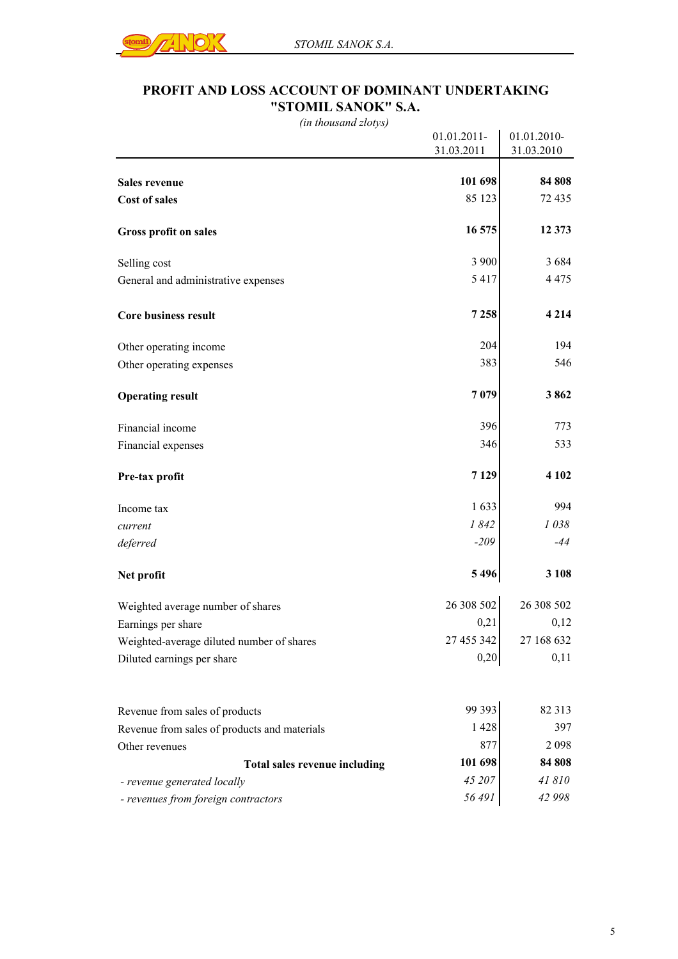

### **PROFIT AND LOSS ACCOUNT OF DOMINANT UNDERTAKING "STOMIL SANOK" S.A.**

*(in thousand zlotys)*

|                                              | 01.01.2011- | 01.01.2010- |
|----------------------------------------------|-------------|-------------|
|                                              | 31.03.2011  | 31.03.2010  |
|                                              |             |             |
| Sales revenue                                | 101 698     | 84 808      |
| <b>Cost of sales</b>                         | 85 123      | 72 435      |
| Gross profit on sales                        | 16 575      | 12 373      |
| Selling cost                                 | 3 900       | 3684        |
| General and administrative expenses          | 5 4 1 7     | 4 4 7 5     |
| <b>Core business result</b>                  | 7 2 5 8     | 4 2 1 4     |
| Other operating income                       | 204         | 194         |
| Other operating expenses                     | 383         | 546         |
| <b>Operating result</b>                      | 7079        | 3862        |
| Financial income                             | 396         | 773         |
| Financial expenses                           | 346         | 533         |
| Pre-tax profit                               | 7 1 2 9     | 4 1 0 2     |
| Income tax                                   | 1 633       | 994         |
| current                                      | 1842        | 1038        |
| deferred                                     | $-209$      | $-44$       |
| Net profit                                   | 5496        | 3 1 0 8     |
| Weighted average number of shares            | 26 308 502  | 26 308 502  |
| Earnings per share                           | 0,21        | 0,12        |
| Weighted-average diluted number of shares    | 27 455 342  | 27 168 632  |
| Diluted earnings per share                   | 0,20        | 0,11        |
| Revenue from sales of products               | 99 393      | 82 313      |
| Revenue from sales of products and materials | 1428        | 397         |
| Other revenues                               | 877         | 2098        |
| Total sales revenue including                | 101 698     | 84 808      |
| - revenue generated locally                  | 45 207      | 41810       |
| - revenues from foreign contractors          | 56 491      | 42 998      |